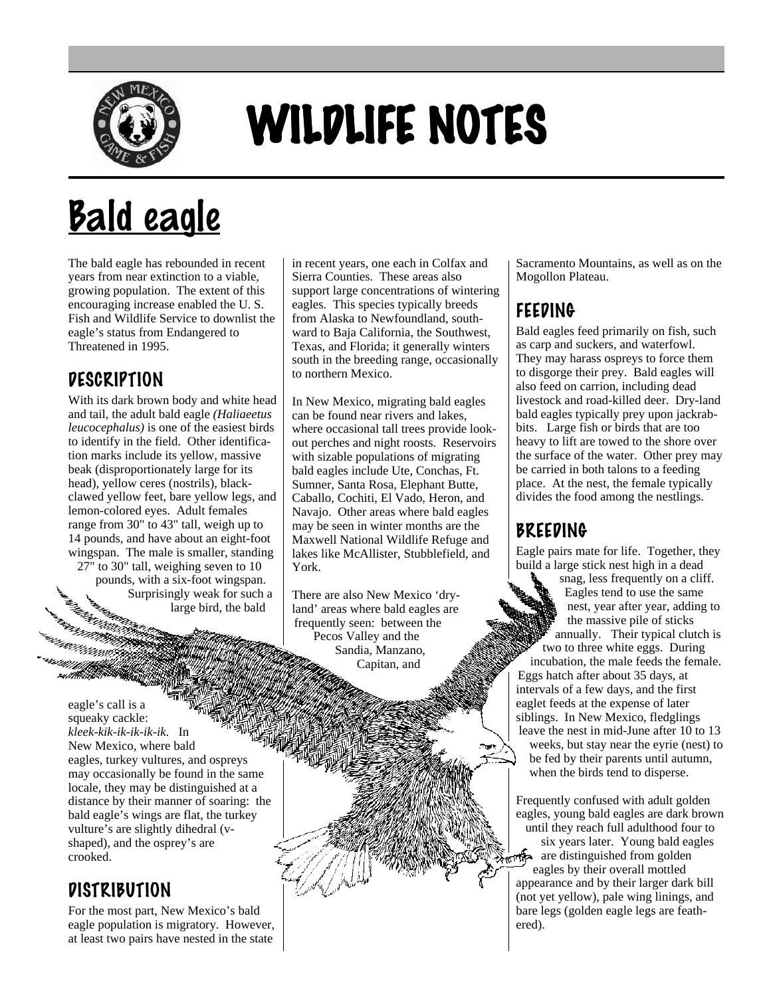

# WILDLIFE NOTES

## Bald eagle

The bald eagle has rebounded in recent years from near extinction to a viable, growing population. The extent of this encouraging increase enabled the U. S. Fish and Wildlife Service to downlist the eagle's status from Endangered to Threatened in 1995.

#### DESCRIPTION

With its dark brown body and white head and tail, the adult bald eagle *(Haliaeetus leucocephalus)* is one of the easiest birds to identify in the field. Other identification marks include its yellow, massive beak (disproportionately large for its head), yellow ceres (nostrils), blackclawed yellow feet, bare yellow legs, and lemon-colored eyes. Adult females range from 30" to 43" tall, weigh up to 14 pounds, and have about an eight-foot wingspan. The male is smaller, standing 27" to 30" tall, weighing seven to 10 pounds, with a six-foot wingspan. Surprisingly weak for such a

large bird, the bald

eagle's call is a squeaky cackle: *kleek-kik-ik-ik-ik-ik*. In New Mexico, where bald eagles, turkey vultures, and ospreys may occasionally be found in the same locale, they may be distinguished at a distance by their manner of soaring: the bald eagle's wings are flat, the turkey vulture's are slightly dihedral (vshaped), and the osprey's are crooked.

#### **DISTRIBUTION**

For the most part, New Mexico's bald eagle population is migratory. However, at least two pairs have nested in the state

in recent years, one each in Colfax and Sierra Counties. These areas also support large concentrations of wintering eagles. This species typically breeds from Alaska to Newfoundland, southward to Baja California, the Southwest, Texas, and Florida; it generally winters south in the breeding range, occasionally to northern Mexico.

In New Mexico, migrating bald eagles can be found near rivers and lakes, where occasional tall trees provide lookout perches and night roosts. Reservoirs with sizable populations of migrating bald eagles include Ute, Conchas, Ft. Sumner, Santa Rosa, Elephant Butte, Caballo, Cochiti, El Vado, Heron, and Navajo. Other areas where bald eagles may be seen in winter months are the Maxwell National Wildlife Refuge and lakes like McAllister, Stubblefield, and York.

There are also New Mexico 'dryland' areas where bald eagles are frequently seen: between the Pecos Valley and the Sandia, Manzano, Capitan, and

Sacramento Mountains, as well as on the Mogollon Plateau.

#### FEEDING

Bald eagles feed primarily on fish, such as carp and suckers, and waterfowl. They may harass ospreys to force them to disgorge their prey. Bald eagles will also feed on carrion, including dead livestock and road-killed deer. Dry-land bald eagles typically prey upon jackrabbits. Large fish or birds that are too heavy to lift are towed to the shore over the surface of the water. Other prey may be carried in both talons to a feeding place. At the nest, the female typically divides the food among the nestlings.

#### BREEDING

Eagle pairs mate for life. Together, they build a large stick nest high in a dead

snag, less frequently on a cliff. Eagles tend to use the same nest, year after year, adding to the massive pile of sticks annually. Their typical clutch is two to three white eggs. During incubation, the male feeds the female. Eggs hatch after about 35 days, at intervals of a few days, and the first eaglet feeds at the expense of later siblings. In New Mexico, fledglings leave the nest in mid-June after 10 to 13 weeks, but stay near the eyrie (nest) to be fed by their parents until autumn, when the birds tend to disperse.

Frequently confused with adult golden eagles, young bald eagles are dark brown until they reach full adulthood four to

six years later. Young bald eagles are distinguished from golden eagles by their overall mottled appearance and by their larger dark bill (not yet yellow), pale wing linings, and bare legs (golden eagle legs are feathered).